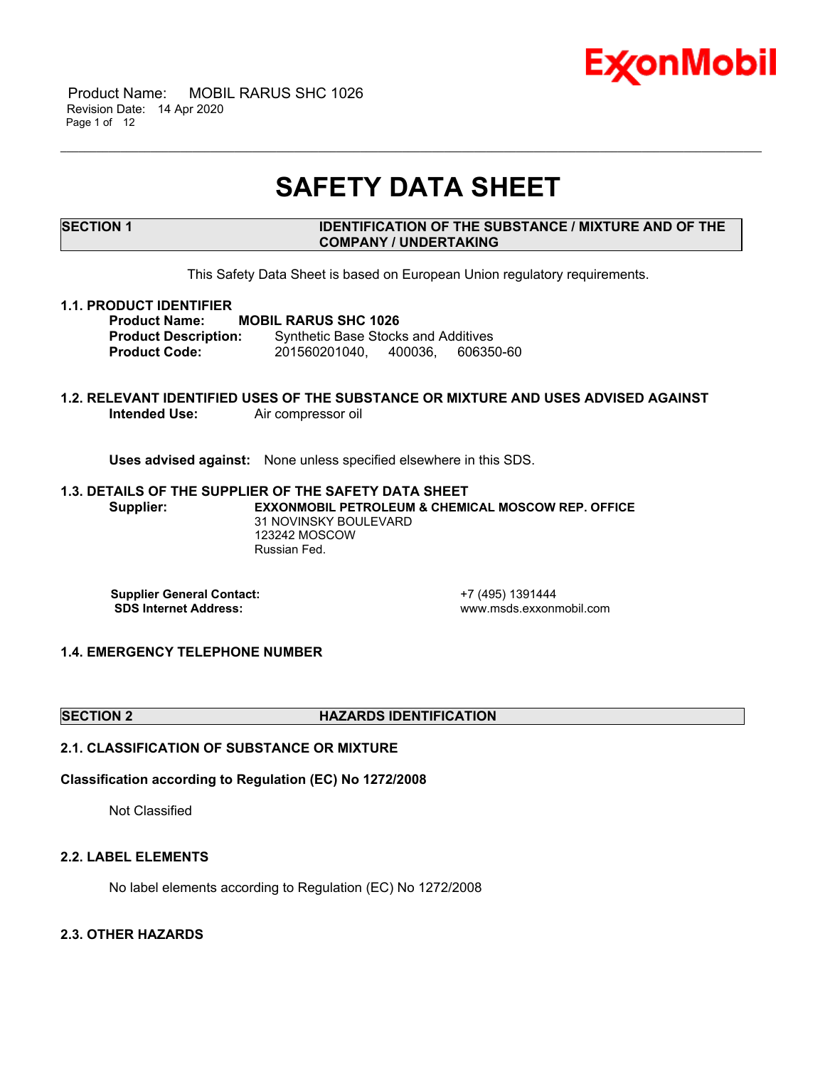

 Product Name: MOBIL RARUS SHC 1026 Revision Date: 14 Apr 2020 Page 1 of 12

# **SAFETY DATA SHEET**

\_\_\_\_\_\_\_\_\_\_\_\_\_\_\_\_\_\_\_\_\_\_\_\_\_\_\_\_\_\_\_\_\_\_\_\_\_\_\_\_\_\_\_\_\_\_\_\_\_\_\_\_\_\_\_\_\_\_\_\_\_\_\_\_\_\_\_\_\_\_\_\_\_\_\_\_\_\_\_\_\_\_\_\_\_\_\_\_\_\_\_\_\_\_\_\_\_\_\_\_\_\_\_\_\_\_\_\_\_\_\_\_\_\_\_\_\_

# **SECTION 1 IDENTIFICATION OF THE SUBSTANCE / MIXTURE AND OF THE COMPANY / UNDERTAKING**

This Safety Data Sheet is based on European Union regulatory requirements.

#### **1.1. PRODUCT IDENTIFIER**

**Product Name: MOBIL RARUS SHC 1026 Product Description:** Synthetic Base Stocks and Additives **Product Code:** 201560201040, 400036, 606350-60

# **1.2. RELEVANT IDENTIFIED USES OF THE SUBSTANCE OR MIXTURE AND USES ADVISED AGAINST Intended Use:** Air compressor oil

**Uses advised against:** None unless specified elsewhere in this SDS.

#### **1.3. DETAILS OF THE SUPPLIER OF THE SAFETY DATA SHEET Supplier: EXXONMOBIL PETROLEUM & CHEMICAL MOSCOW REP. OFFICE** 31 NOVINSKY BOULEVARD 123242 MOSCOW Russian Fed.

**Supplier General Contact:** +7 (495) 1391444<br> **SDS Internet Address:** + +7 (495) www.msds.exxonr

 **SDS Internet Address:** www.msds.exxonmobil.com

# **1.4. EMERGENCY TELEPHONE NUMBER**

#### **SECTION 2 HAZARDS IDENTIFICATION**

# **2.1. CLASSIFICATION OF SUBSTANCE OR MIXTURE**

### **Classification according to Regulation (EC) No 1272/2008**

Not Classified

#### **2.2. LABEL ELEMENTS**

No label elements according to Regulation (EC) No 1272/2008

# **2.3. OTHER HAZARDS**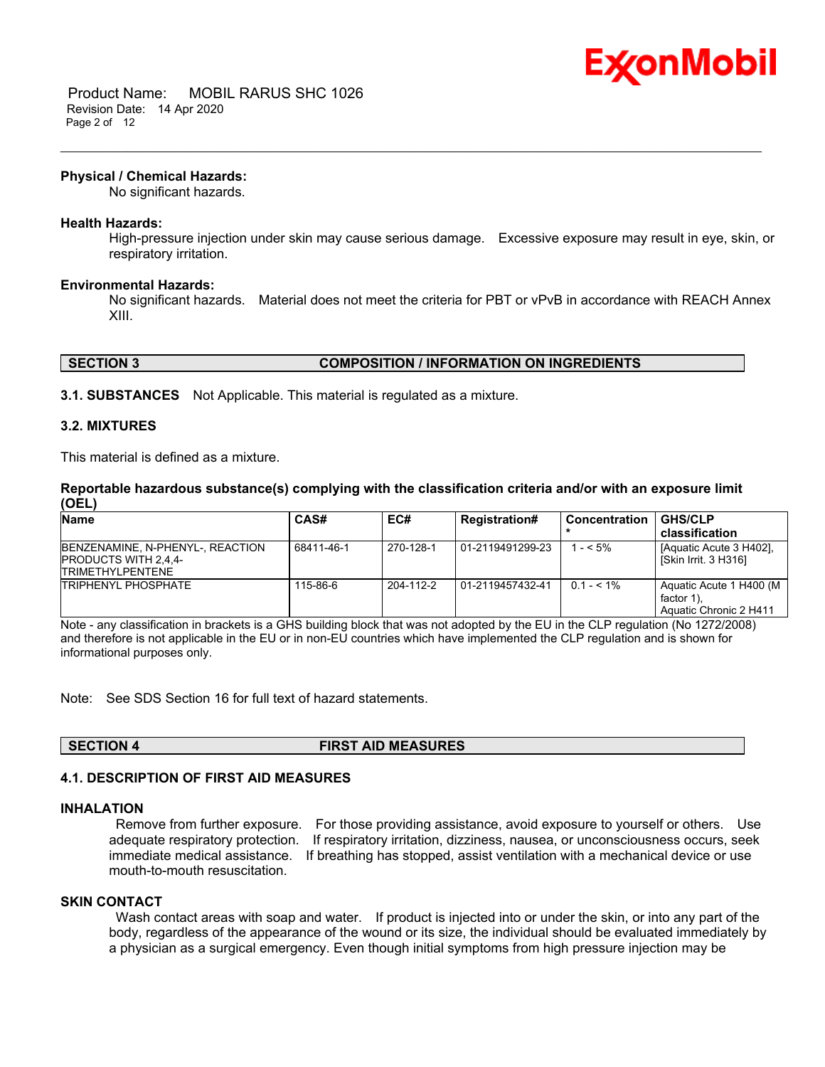

#### **Physical / Chemical Hazards:**

No significant hazards.

#### **Health Hazards:**

High-pressure injection under skin may cause serious damage. Excessive exposure may result in eye, skin, or respiratory irritation.

\_\_\_\_\_\_\_\_\_\_\_\_\_\_\_\_\_\_\_\_\_\_\_\_\_\_\_\_\_\_\_\_\_\_\_\_\_\_\_\_\_\_\_\_\_\_\_\_\_\_\_\_\_\_\_\_\_\_\_\_\_\_\_\_\_\_\_\_\_\_\_\_\_\_\_\_\_\_\_\_\_\_\_\_\_\_\_\_\_\_\_\_\_\_\_\_\_\_\_\_\_\_\_\_\_\_\_\_\_\_\_\_\_\_\_\_\_

#### **Environmental Hazards:**

No significant hazards. Material does not meet the criteria for PBT or vPvB in accordance with REACH Annex XIII.

# **SECTION 3 COMPOSITION / INFORMATION ON INGREDIENTS**

**3.1. SUBSTANCES** Not Applicable. This material is regulated as a mixture.

#### **3.2. MIXTURES**

This material is defined as a mixture.

**Reportable hazardous substance(s) complying with the classification criteria and/or with an exposure limit (OEL)**

| <b>Name</b>                                                                                | CAS#       | EC#       | <b>Registration#</b> | <b>Concentration</b> | <b>GHS/CLP</b>                                                  |
|--------------------------------------------------------------------------------------------|------------|-----------|----------------------|----------------------|-----------------------------------------------------------------|
|                                                                                            |            |           |                      |                      | classification                                                  |
| BENZENAMINE, N-PHENYL-, REACTION<br><b>PRODUCTS WITH 2.4.4-</b><br><b>TRIMETHYLPENTENE</b> | 68411-46-1 | 270-128-1 | 01-2119491299-23     | $1 - 5\%$            | [Aquatic Acute 3 H402].<br>[Skin Irrit. 3 H316]                 |
| <b>TRIPHENYL PHOSPHATE</b>                                                                 | 115-86-6   | 204-112-2 | 01-2119457432-41     | $0.1 - 5.1\%$        | Aquatic Acute 1 H400 (M<br>factor 1).<br>Aquatic Chronic 2 H411 |

Note - any classification in brackets is a GHS building block that was not adopted by the EU in the CLP regulation (No 1272/2008) and therefore is not applicable in the EU or in non-EU countries which have implemented the CLP regulation and is shown for informational purposes only.

Note: See SDS Section 16 for full text of hazard statements.

**SECTION 4 FIRST AID MEASURES**

# **4.1. DESCRIPTION OF FIRST AID MEASURES**

# **INHALATION**

 Remove from further exposure. For those providing assistance, avoid exposure to yourself or others. Use adequate respiratory protection. If respiratory irritation, dizziness, nausea, or unconsciousness occurs, seek immediate medical assistance. If breathing has stopped, assist ventilation with a mechanical device or use mouth-to-mouth resuscitation.

#### **SKIN CONTACT**

Wash contact areas with soap and water. If product is injected into or under the skin, or into any part of the body, regardless of the appearance of the wound or its size, the individual should be evaluated immediately by a physician as a surgical emergency. Even though initial symptoms from high pressure injection may be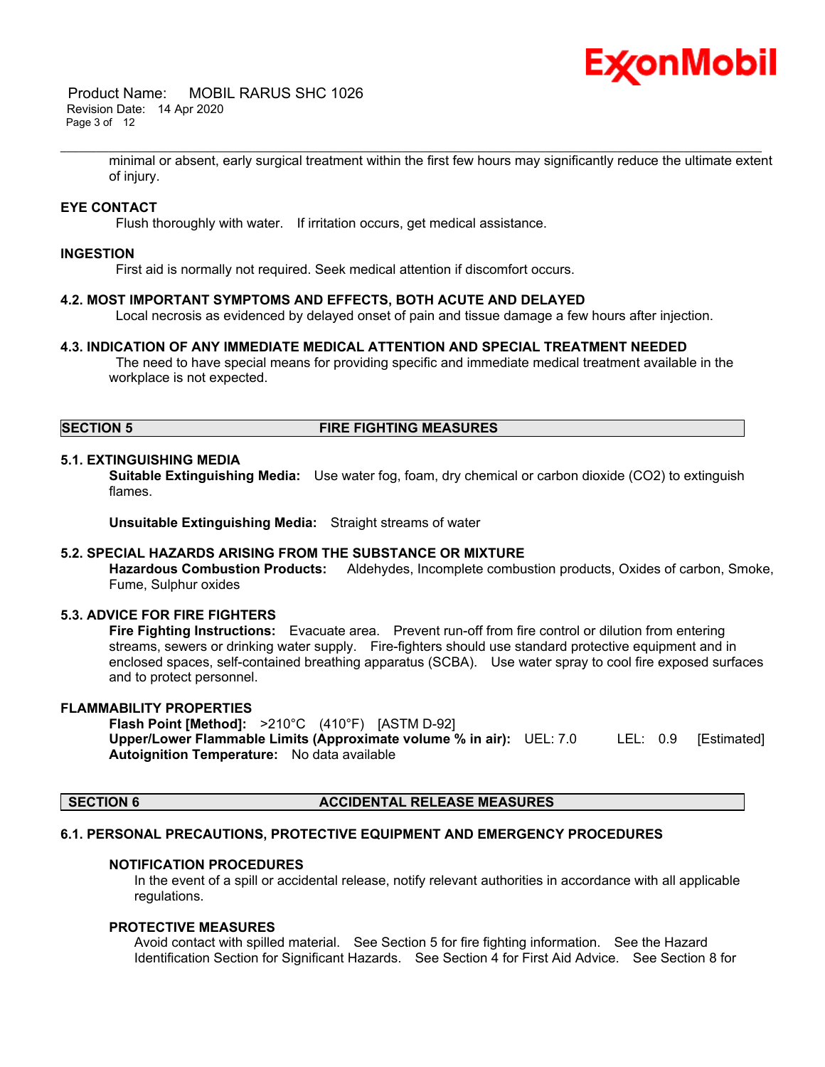# Ex⁄onMobil

 Product Name: MOBIL RARUS SHC 1026 Revision Date: 14 Apr 2020 Page 3 of 12

> minimal or absent, early surgical treatment within the first few hours may significantly reduce the ultimate extent of injury.

\_\_\_\_\_\_\_\_\_\_\_\_\_\_\_\_\_\_\_\_\_\_\_\_\_\_\_\_\_\_\_\_\_\_\_\_\_\_\_\_\_\_\_\_\_\_\_\_\_\_\_\_\_\_\_\_\_\_\_\_\_\_\_\_\_\_\_\_\_\_\_\_\_\_\_\_\_\_\_\_\_\_\_\_\_\_\_\_\_\_\_\_\_\_\_\_\_\_\_\_\_\_\_\_\_\_\_\_\_\_\_\_\_\_\_\_\_

# **EYE CONTACT**

Flush thoroughly with water. If irritation occurs, get medical assistance.

#### **INGESTION**

First aid is normally not required. Seek medical attention if discomfort occurs.

#### **4.2. MOST IMPORTANT SYMPTOMS AND EFFECTS, BOTH ACUTE AND DELAYED**

Local necrosis as evidenced by delayed onset of pain and tissue damage a few hours after injection.

#### **4.3. INDICATION OF ANY IMMEDIATE MEDICAL ATTENTION AND SPECIAL TREATMENT NEEDED**

 The need to have special means for providing specific and immediate medical treatment available in the workplace is not expected.

# **SECTION 5 FIRE FIGHTING MEASURES**

#### **5.1. EXTINGUISHING MEDIA**

**Suitable Extinguishing Media:** Use water fog, foam, dry chemical or carbon dioxide (CO2) to extinguish flames.

**Unsuitable Extinguishing Media:** Straight streams of water

#### **5.2. SPECIAL HAZARDS ARISING FROM THE SUBSTANCE OR MIXTURE**

**Hazardous Combustion Products:** Aldehydes, Incomplete combustion products, Oxides of carbon, Smoke, Fume, Sulphur oxides

# **5.3. ADVICE FOR FIRE FIGHTERS**

**Fire Fighting Instructions:** Evacuate area. Prevent run-off from fire control or dilution from entering streams, sewers or drinking water supply. Fire-fighters should use standard protective equipment and in enclosed spaces, self-contained breathing apparatus (SCBA). Use water spray to cool fire exposed surfaces and to protect personnel.

#### **FLAMMABILITY PROPERTIES**

**Flash Point [Method]:** >210°C (410°F) [ASTM D-92] **Upper/Lower Flammable Limits (Approximate volume % in air):** UEL: 7.0 LEL: 0.9 [Estimated] **Autoignition Temperature:** No data available

#### **SECTION 6 ACCIDENTAL RELEASE MEASURES**

#### **6.1. PERSONAL PRECAUTIONS, PROTECTIVE EQUIPMENT AND EMERGENCY PROCEDURES**

#### **NOTIFICATION PROCEDURES**

In the event of a spill or accidental release, notify relevant authorities in accordance with all applicable regulations.

#### **PROTECTIVE MEASURES**

Avoid contact with spilled material. See Section 5 for fire fighting information. See the Hazard Identification Section for Significant Hazards. See Section 4 for First Aid Advice. See Section 8 for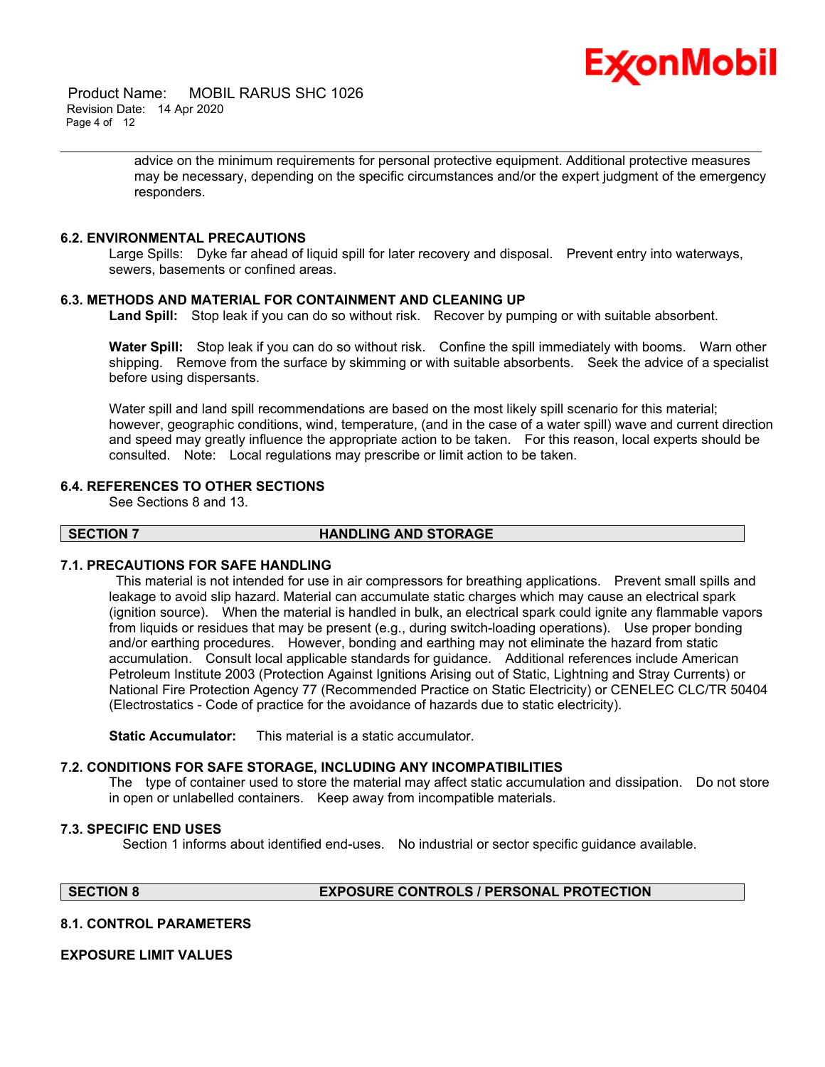

 Product Name: MOBIL RARUS SHC 1026 Revision Date: 14 Apr 2020 Page 4 of 12

> advice on the minimum requirements for personal protective equipment. Additional protective measures may be necessary, depending on the specific circumstances and/or the expert judgment of the emergency responders.

# **6.2. ENVIRONMENTAL PRECAUTIONS**

Large Spills: Dyke far ahead of liquid spill for later recovery and disposal. Prevent entry into waterways, sewers, basements or confined areas.

# **6.3. METHODS AND MATERIAL FOR CONTAINMENT AND CLEANING UP**

**Land Spill:** Stop leak if you can do so without risk. Recover by pumping or with suitable absorbent.

\_\_\_\_\_\_\_\_\_\_\_\_\_\_\_\_\_\_\_\_\_\_\_\_\_\_\_\_\_\_\_\_\_\_\_\_\_\_\_\_\_\_\_\_\_\_\_\_\_\_\_\_\_\_\_\_\_\_\_\_\_\_\_\_\_\_\_\_\_\_\_\_\_\_\_\_\_\_\_\_\_\_\_\_\_\_\_\_\_\_\_\_\_\_\_\_\_\_\_\_\_\_\_\_\_\_\_\_\_\_\_\_\_\_\_\_\_

**Water Spill:** Stop leak if you can do so without risk. Confine the spill immediately with booms. Warn other shipping. Remove from the surface by skimming or with suitable absorbents. Seek the advice of a specialist before using dispersants.

Water spill and land spill recommendations are based on the most likely spill scenario for this material; however, geographic conditions, wind, temperature, (and in the case of a water spill) wave and current direction and speed may greatly influence the appropriate action to be taken. For this reason, local experts should be consulted. Note: Local regulations may prescribe or limit action to be taken.

#### **6.4. REFERENCES TO OTHER SECTIONS**

See Sections 8 and 13.

#### **SECTION 7 HANDLING AND STORAGE**

#### **7.1. PRECAUTIONS FOR SAFE HANDLING**

 This material is not intended for use in air compressors for breathing applications. Prevent small spills and leakage to avoid slip hazard. Material can accumulate static charges which may cause an electrical spark (ignition source). When the material is handled in bulk, an electrical spark could ignite any flammable vapors from liquids or residues that may be present (e.g., during switch-loading operations). Use proper bonding and/or earthing procedures. However, bonding and earthing may not eliminate the hazard from static accumulation. Consult local applicable standards for guidance. Additional references include American Petroleum Institute 2003 (Protection Against Ignitions Arising out of Static, Lightning and Stray Currents) or National Fire Protection Agency 77 (Recommended Practice on Static Electricity) or CENELEC CLC/TR 50404 (Electrostatics - Code of practice for the avoidance of hazards due to static electricity).

**Static Accumulator:** This material is a static accumulator.

# **7.2. CONDITIONS FOR SAFE STORAGE, INCLUDING ANY INCOMPATIBILITIES**

The type of container used to store the material may affect static accumulation and dissipation. Do not store in open or unlabelled containers. Keep away from incompatible materials.

# **7.3. SPECIFIC END USES**

Section 1 informs about identified end-uses. No industrial or sector specific guidance available.

# **SECTION 8 EXPOSURE CONTROLS / PERSONAL PROTECTION**

# **8.1. CONTROL PARAMETERS**

# **EXPOSURE LIMIT VALUES**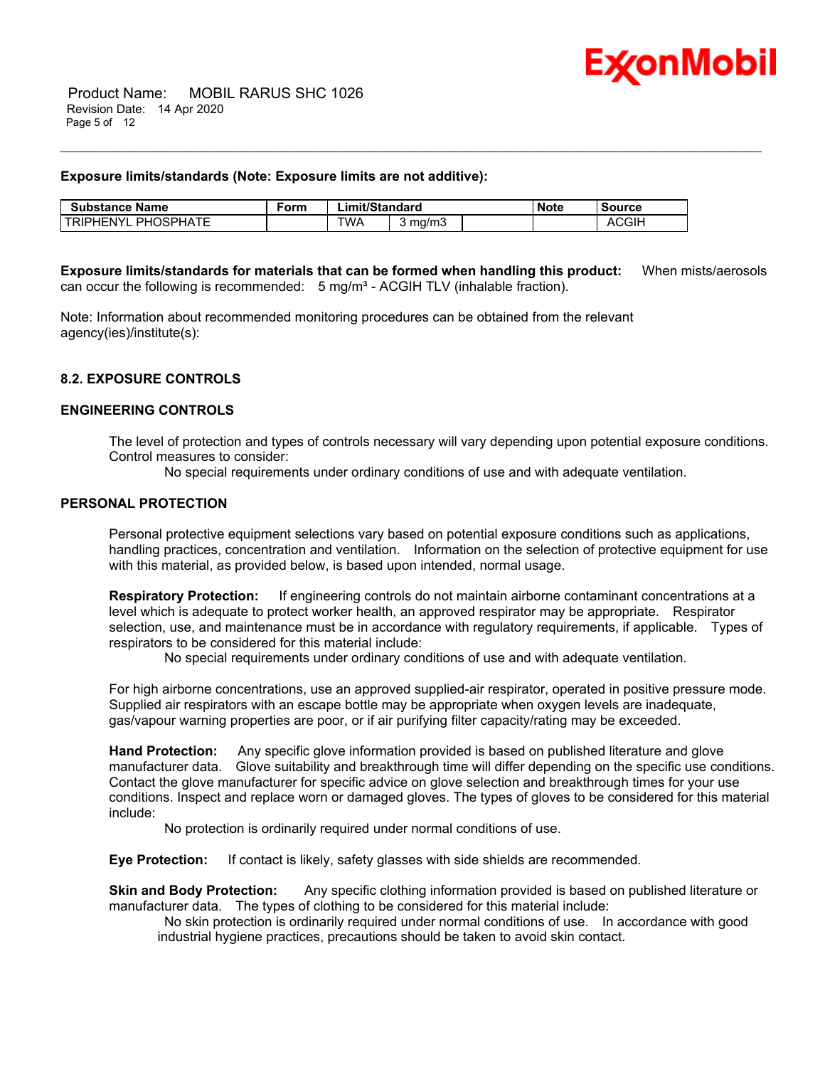

#### **Exposure limits/standards (Note: Exposure limits are not additive):**

| <b>Substance Name</b>         | ∙orm | Limit/Standard |       | Note | ੋource |              |
|-------------------------------|------|----------------|-------|------|--------|--------------|
| PHOSPHATE<br><b>TRIPHENYL</b> |      | <b>TWA</b>     | ma/mപ |      |        | <b>ACGIH</b> |

**Exposure limits/standards for materials that can be formed when handling this product:** When mists/aerosols can occur the following is recommended:  $5 \text{ mg/m}^3$  - ACGIH TLV (inhalable fraction).

\_\_\_\_\_\_\_\_\_\_\_\_\_\_\_\_\_\_\_\_\_\_\_\_\_\_\_\_\_\_\_\_\_\_\_\_\_\_\_\_\_\_\_\_\_\_\_\_\_\_\_\_\_\_\_\_\_\_\_\_\_\_\_\_\_\_\_\_\_\_\_\_\_\_\_\_\_\_\_\_\_\_\_\_\_\_\_\_\_\_\_\_\_\_\_\_\_\_\_\_\_\_\_\_\_\_\_\_\_\_\_\_\_\_\_\_\_

Note: Information about recommended monitoring procedures can be obtained from the relevant agency(ies)/institute(s):

# **8.2. EXPOSURE CONTROLS**

# **ENGINEERING CONTROLS**

The level of protection and types of controls necessary will vary depending upon potential exposure conditions. Control measures to consider:

No special requirements under ordinary conditions of use and with adequate ventilation.

# **PERSONAL PROTECTION**

Personal protective equipment selections vary based on potential exposure conditions such as applications, handling practices, concentration and ventilation. Information on the selection of protective equipment for use with this material, as provided below, is based upon intended, normal usage.

**Respiratory Protection:** If engineering controls do not maintain airborne contaminant concentrations at a level which is adequate to protect worker health, an approved respirator may be appropriate. Respirator selection, use, and maintenance must be in accordance with regulatory requirements, if applicable. Types of respirators to be considered for this material include:

No special requirements under ordinary conditions of use and with adequate ventilation.

For high airborne concentrations, use an approved supplied-air respirator, operated in positive pressure mode. Supplied air respirators with an escape bottle may be appropriate when oxygen levels are inadequate, gas/vapour warning properties are poor, or if air purifying filter capacity/rating may be exceeded.

**Hand Protection:** Any specific glove information provided is based on published literature and glove manufacturer data. Glove suitability and breakthrough time will differ depending on the specific use conditions. Contact the glove manufacturer for specific advice on glove selection and breakthrough times for your use conditions. Inspect and replace worn or damaged gloves. The types of gloves to be considered for this material include:

No protection is ordinarily required under normal conditions of use.

**Eye Protection:** If contact is likely, safety glasses with side shields are recommended.

**Skin and Body Protection:** Any specific clothing information provided is based on published literature or manufacturer data. The types of clothing to be considered for this material include:

 No skin protection is ordinarily required under normal conditions of use. In accordance with good industrial hygiene practices, precautions should be taken to avoid skin contact.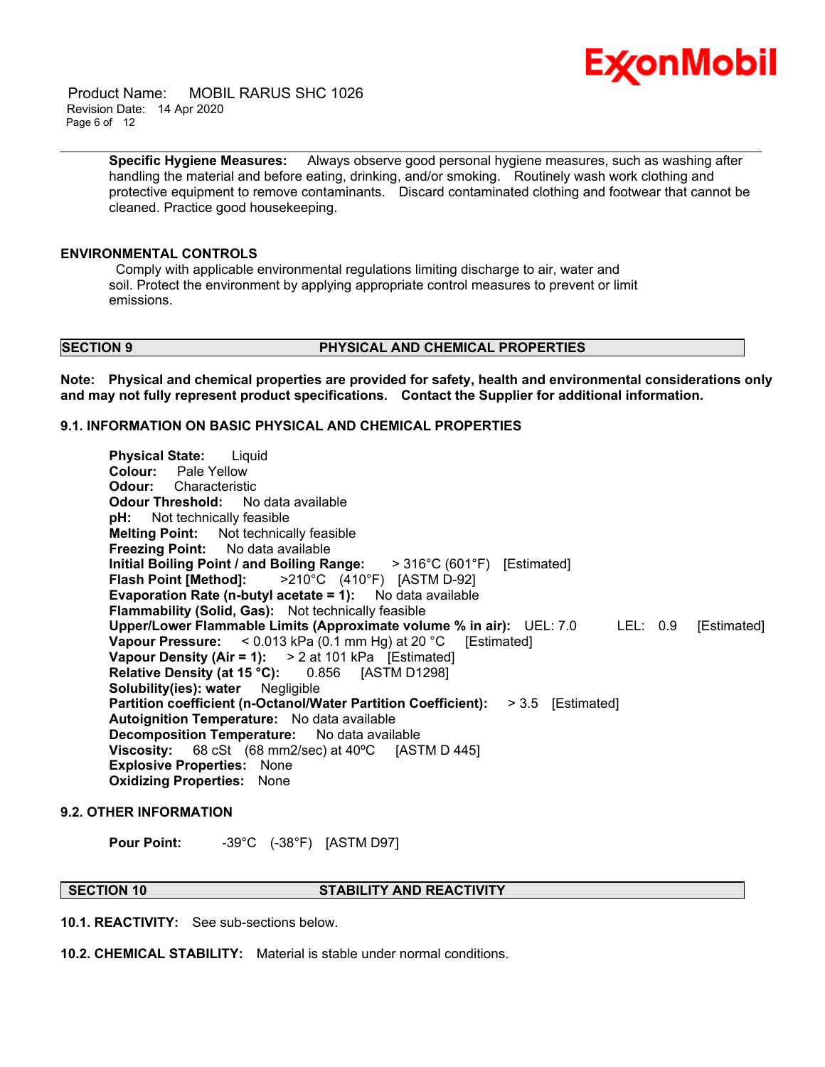

 Product Name: MOBIL RARUS SHC 1026 Revision Date: 14 Apr 2020 Page 6 of 12

> **Specific Hygiene Measures:** Always observe good personal hygiene measures, such as washing after handling the material and before eating, drinking, and/or smoking. Routinely wash work clothing and protective equipment to remove contaminants. Discard contaminated clothing and footwear that cannot be cleaned. Practice good housekeeping.

\_\_\_\_\_\_\_\_\_\_\_\_\_\_\_\_\_\_\_\_\_\_\_\_\_\_\_\_\_\_\_\_\_\_\_\_\_\_\_\_\_\_\_\_\_\_\_\_\_\_\_\_\_\_\_\_\_\_\_\_\_\_\_\_\_\_\_\_\_\_\_\_\_\_\_\_\_\_\_\_\_\_\_\_\_\_\_\_\_\_\_\_\_\_\_\_\_\_\_\_\_\_\_\_\_\_\_\_\_\_\_\_\_\_\_\_\_

#### **ENVIRONMENTAL CONTROLS**

 Comply with applicable environmental regulations limiting discharge to air, water and soil. Protect the environment by applying appropriate control measures to prevent or limit emissions.

# **SECTION 9 PHYSICAL AND CHEMICAL PROPERTIES**

**Note: Physical and chemical properties are provided for safety, health and environmental considerations only and may not fully represent product specifications. Contact the Supplier for additional information.**

# **9.1. INFORMATION ON BASIC PHYSICAL AND CHEMICAL PROPERTIES**

**Physical State:** Liquid **Colour:** Pale Yellow **Odour:** Characteristic **Odour Threshold:** No data available<br>**pH:** Not technically feasible Not technically feasible **Melting Point:** Not technically feasible **Freezing Point:** No data available **Initial Boiling Point / and Boiling Range:** > 316°C (601°F) [Estimated] **Flash Point [Method]:** >210°C (410°F) [ASTM D-92] **Evaporation Rate (n-butyl acetate = 1):** No data available **Flammability (Solid, Gas):** Not technically feasible **Upper/Lower Flammable Limits (Approximate volume % in air):** UEL: 7.0 LEL: 0.9 [Estimated] **Vapour Pressure:** < 0.013 kPa (0.1 mm Hg) at 20 °C [Estimated] **Vapour Density (Air = 1):** > 2 at 101 kPa [Estimated] **Relative Density (at 15 °C):** 0.856 [ASTM D1298] **Solubility(ies): water** Negligible **Partition coefficient (n-Octanol/Water Partition Coefficient):** > 3.5 [Estimated] **Autoignition Temperature:** No data available **Decomposition Temperature:** No data available **Viscosity:** 68 cSt (68 mm2/sec) at 40ºC [ASTM D 445] **Explosive Properties:** None **Oxidizing Properties:** None

# **9.2. OTHER INFORMATION**

**Pour Point:** -39°C (-38°F) [ASTM D97]

**SECTION 10 STABILITY AND REACTIVITY**

**10.1. REACTIVITY:** See sub-sections below.

**10.2. CHEMICAL STABILITY:** Material is stable under normal conditions.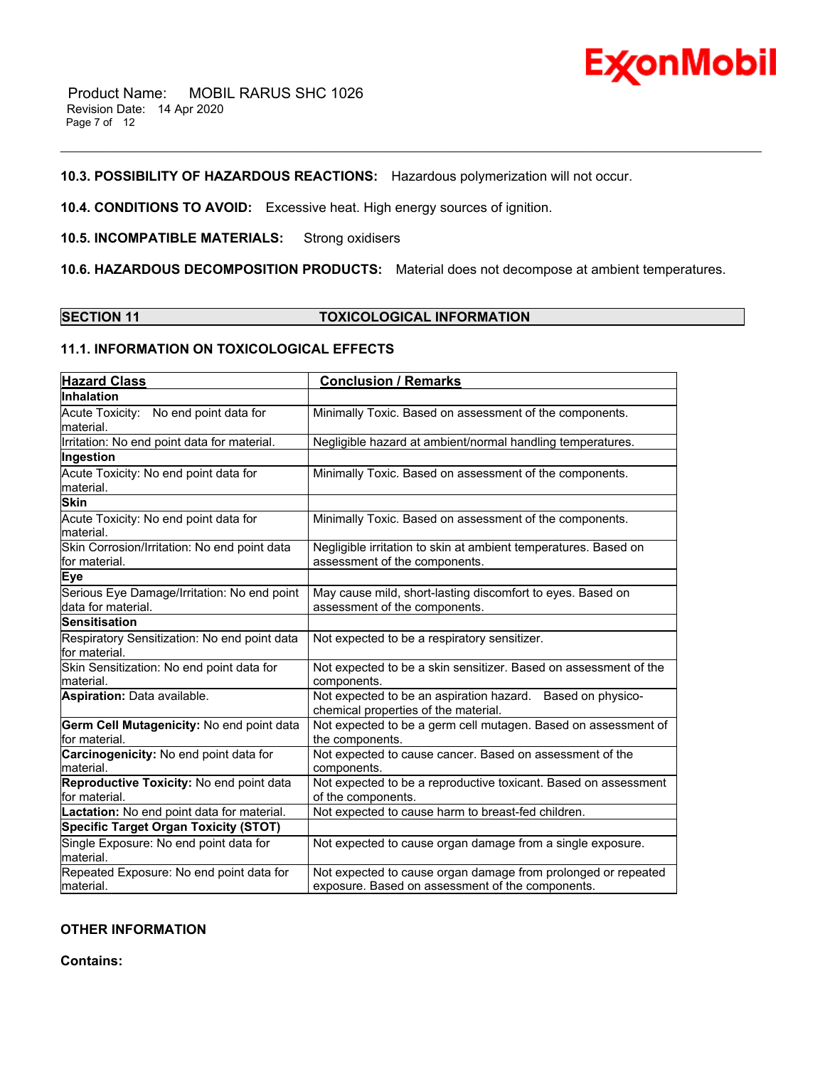

# **10.3. POSSIBILITY OF HAZARDOUS REACTIONS:** Hazardous polymerization will not occur.

**10.4. CONDITIONS TO AVOID:** Excessive heat. High energy sources of ignition.

# **10.5. INCOMPATIBLE MATERIALS:** Strong oxidisers

**10.6. HAZARDOUS DECOMPOSITION PRODUCTS:** Material does not decompose at ambient temperatures.

\_\_\_\_\_\_\_\_\_\_\_\_\_\_\_\_\_\_\_\_\_\_\_\_\_\_\_\_\_\_\_\_\_\_\_\_\_\_\_\_\_\_\_\_\_\_\_\_\_\_\_\_\_\_\_\_\_\_\_\_\_\_\_\_\_\_\_\_\_\_\_\_\_\_\_\_\_\_\_\_\_\_\_\_\_\_\_\_\_\_\_\_\_\_\_\_\_\_\_\_\_\_\_\_\_\_\_\_\_\_\_\_\_\_\_\_\_

# **SECTION 11 TOXICOLOGICAL INFORMATION**

# **11.1. INFORMATION ON TOXICOLOGICAL EFFECTS**

| <b>Hazard Class</b>                                               | <b>Conclusion / Remarks</b>                                                                                       |
|-------------------------------------------------------------------|-------------------------------------------------------------------------------------------------------------------|
| Inhalation                                                        |                                                                                                                   |
| Acute Toxicity: No end point data for<br>material.                | Minimally Toxic. Based on assessment of the components.                                                           |
| Irritation: No end point data for material.                       | Negligible hazard at ambient/normal handling temperatures.                                                        |
| Ingestion                                                         |                                                                                                                   |
| Acute Toxicity: No end point data for<br>material.                | Minimally Toxic. Based on assessment of the components.                                                           |
| <b>Skin</b>                                                       |                                                                                                                   |
| Acute Toxicity: No end point data for<br>material.                | Minimally Toxic. Based on assessment of the components.                                                           |
| Skin Corrosion/Irritation: No end point data<br>for material.     | Negligible irritation to skin at ambient temperatures. Based on<br>assessment of the components.                  |
| <b>Eye</b>                                                        |                                                                                                                   |
| Serious Eye Damage/Irritation: No end point<br>data for material. | May cause mild, short-lasting discomfort to eyes. Based on<br>assessment of the components.                       |
| <b>Sensitisation</b>                                              |                                                                                                                   |
| Respiratory Sensitization: No end point data<br>for material.     | Not expected to be a respiratory sensitizer.                                                                      |
| Skin Sensitization: No end point data for<br>material.            | Not expected to be a skin sensitizer. Based on assessment of the<br>components.                                   |
| Aspiration: Data available.                                       | Not expected to be an aspiration hazard. Based on physico-<br>chemical properties of the material.                |
| Germ Cell Mutagenicity: No end point data<br>for material.        | Not expected to be a germ cell mutagen. Based on assessment of<br>the components.                                 |
| Carcinogenicity: No end point data for<br>material.               | Not expected to cause cancer. Based on assessment of the<br>components.                                           |
| Reproductive Toxicity: No end point data<br>for material.         | Not expected to be a reproductive toxicant. Based on assessment<br>of the components.                             |
| Lactation: No end point data for material.                        | Not expected to cause harm to breast-fed children.                                                                |
| Specific Target Organ Toxicity (STOT)                             |                                                                                                                   |
| Single Exposure: No end point data for<br>material.               | Not expected to cause organ damage from a single exposure.                                                        |
| Repeated Exposure: No end point data for<br>material.             | Not expected to cause organ damage from prolonged or repeated<br>exposure. Based on assessment of the components. |

# **OTHER INFORMATION**

**Contains:**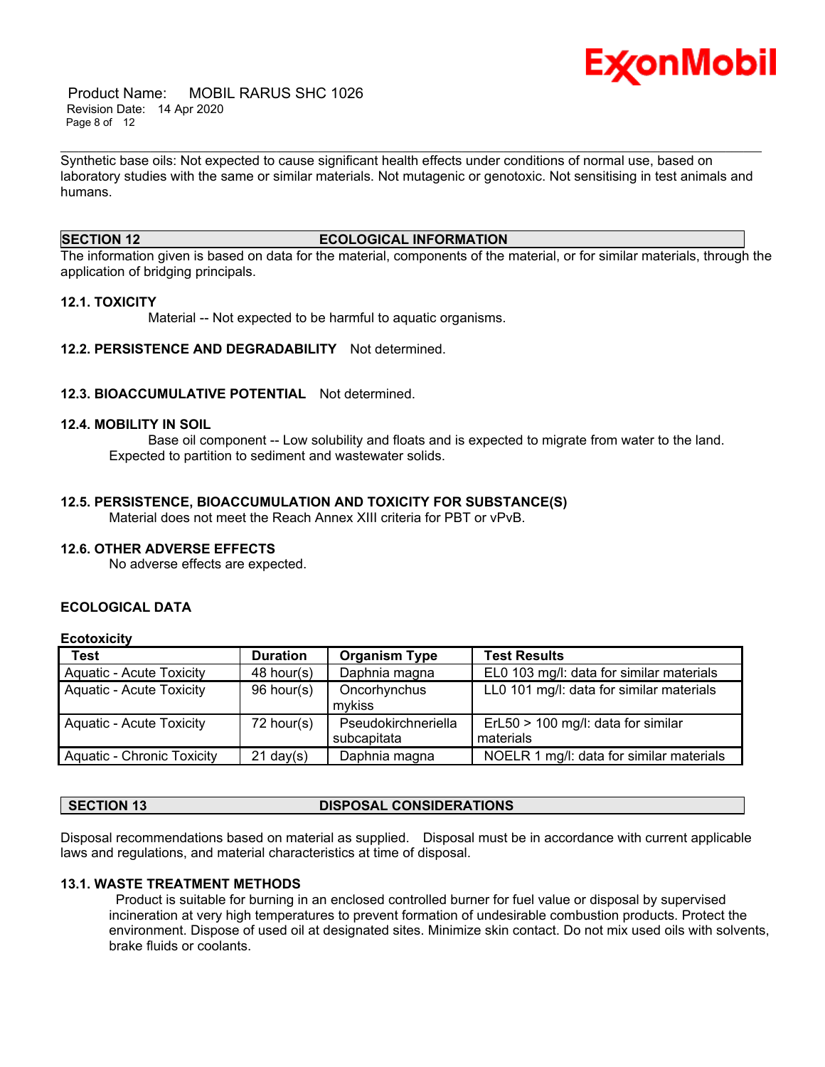

 Product Name: MOBIL RARUS SHC 1026 Revision Date: 14 Apr 2020 Page 8 of 12

Synthetic base oils: Not expected to cause significant health effects under conditions of normal use, based on laboratory studies with the same or similar materials. Not mutagenic or genotoxic. Not sensitising in test animals and humans.

\_\_\_\_\_\_\_\_\_\_\_\_\_\_\_\_\_\_\_\_\_\_\_\_\_\_\_\_\_\_\_\_\_\_\_\_\_\_\_\_\_\_\_\_\_\_\_\_\_\_\_\_\_\_\_\_\_\_\_\_\_\_\_\_\_\_\_\_\_\_\_\_\_\_\_\_\_\_\_\_\_\_\_\_\_\_\_\_\_\_\_\_\_\_\_\_\_\_\_\_\_\_\_\_\_\_\_\_\_\_\_\_\_\_\_\_\_

# **SECTION 12 ECOLOGICAL INFORMATION**

The information given is based on data for the material, components of the material, or for similar materials, through the application of bridging principals.

### **12.1. TOXICITY**

Material -- Not expected to be harmful to aquatic organisms.

**12.2. PERSISTENCE AND DEGRADABILITY** Not determined.

### **12.3. BIOACCUMULATIVE POTENTIAL** Not determined.

#### **12.4. MOBILITY IN SOIL**

 Base oil component -- Low solubility and floats and is expected to migrate from water to the land. Expected to partition to sediment and wastewater solids.

### **12.5. PERSISTENCE, BIOACCUMULATION AND TOXICITY FOR SUBSTANCE(S)**

Material does not meet the Reach Annex XIII criteria for PBT or vPvB.

# **12.6. OTHER ADVERSE EFFECTS**

No adverse effects are expected.

# **ECOLOGICAL DATA**

# **Ecotoxicity**

| <b>Test</b>                     | <b>Duration</b>     | <b>Organism Type</b> | <b>Test Results</b>                      |
|---------------------------------|---------------------|----------------------|------------------------------------------|
| <b>Aquatic - Acute Toxicity</b> | $48$ hour(s)        | Daphnia magna        | EL0 103 mg/l: data for similar materials |
| Aquatic - Acute Toxicity        | 96 hour(s)          | Oncorhynchus         | LL0 101 mg/l: data for similar materials |
|                                 |                     | mykiss               |                                          |
| Aquatic - Acute Toxicity        | $72$ hour(s)        | Pseudokirchneriella  | $ErL50 > 100$ mg/l: data for similar     |
|                                 |                     | subcapitata          | materials                                |
| Aquatic - Chronic Toxicity      | $21 \text{ day}(s)$ | Daphnia magna        | NOELR 1 mg/l: data for similar materials |

# **SECTION 13 DISPOSAL CONSIDERATIONS**

Disposal recommendations based on material as supplied. Disposal must be in accordance with current applicable laws and regulations, and material characteristics at time of disposal.

#### **13.1. WASTE TREATMENT METHODS**

 Product is suitable for burning in an enclosed controlled burner for fuel value or disposal by supervised incineration at very high temperatures to prevent formation of undesirable combustion products. Protect the environment. Dispose of used oil at designated sites. Minimize skin contact. Do not mix used oils with solvents, brake fluids or coolants.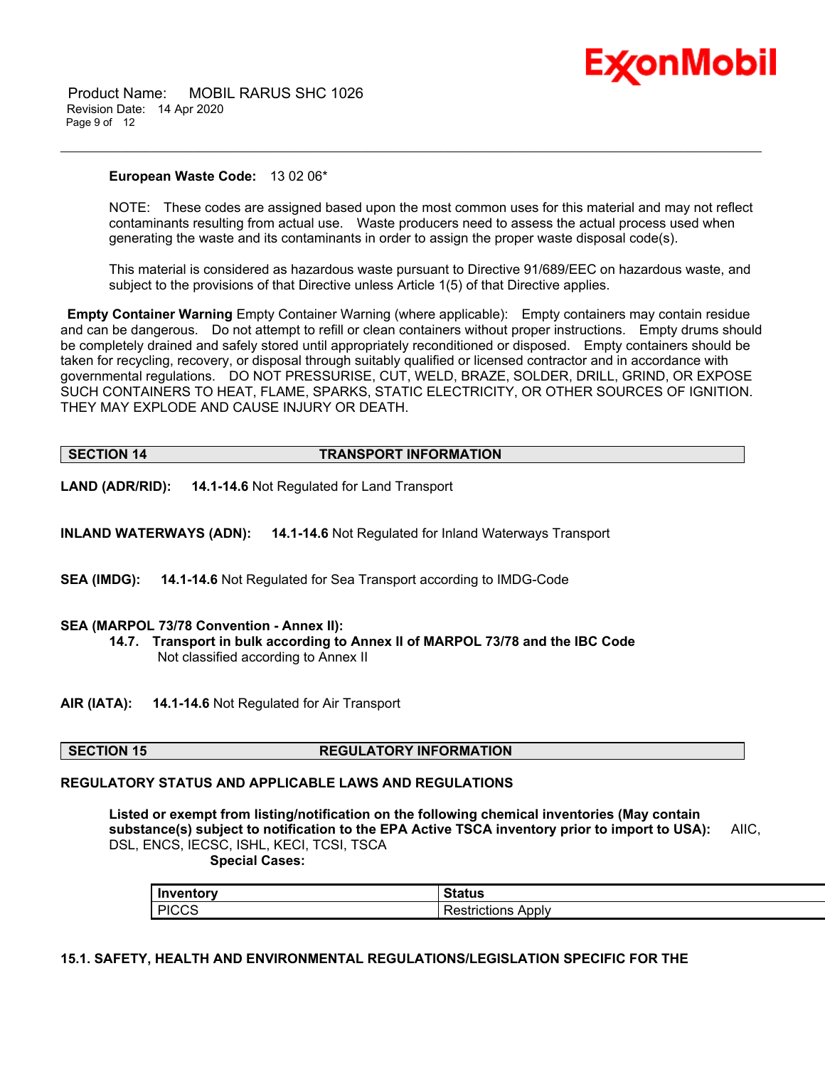

 Product Name: MOBIL RARUS SHC 1026 Revision Date: 14 Apr 2020 Page 9 of 12

#### **European Waste Code:** 13 02 06\*

NOTE: These codes are assigned based upon the most common uses for this material and may not reflect contaminants resulting from actual use. Waste producers need to assess the actual process used when generating the waste and its contaminants in order to assign the proper waste disposal code(s).

\_\_\_\_\_\_\_\_\_\_\_\_\_\_\_\_\_\_\_\_\_\_\_\_\_\_\_\_\_\_\_\_\_\_\_\_\_\_\_\_\_\_\_\_\_\_\_\_\_\_\_\_\_\_\_\_\_\_\_\_\_\_\_\_\_\_\_\_\_\_\_\_\_\_\_\_\_\_\_\_\_\_\_\_\_\_\_\_\_\_\_\_\_\_\_\_\_\_\_\_\_\_\_\_\_\_\_\_\_\_\_\_\_\_\_\_\_

This material is considered as hazardous waste pursuant to Directive 91/689/EEC on hazardous waste, and subject to the provisions of that Directive unless Article 1(5) of that Directive applies.

**Empty Container Warning** Empty Container Warning (where applicable): Empty containers may contain residue and can be dangerous. Do not attempt to refill or clean containers without proper instructions. Empty drums should be completely drained and safely stored until appropriately reconditioned or disposed. Empty containers should be taken for recycling, recovery, or disposal through suitably qualified or licensed contractor and in accordance with governmental regulations. DO NOT PRESSURISE, CUT, WELD, BRAZE, SOLDER, DRILL, GRIND, OR EXPOSE SUCH CONTAINERS TO HEAT, FLAME, SPARKS, STATIC ELECTRICITY, OR OTHER SOURCES OF IGNITION. THEY MAY EXPLODE AND CAUSE INJURY OR DEATH.

| <b>SECTION 14</b> | <b>TRANSPORT INFORMATION</b> |
|-------------------|------------------------------|
|                   |                              |

**LAND (ADR/RID): 14.1-14.6** Not Regulated for Land Transport

**INLAND WATERWAYS (ADN): 14.1-14.6** Not Regulated for Inland Waterways Transport

**SEA (IMDG): 14.1-14.6** Not Regulated for Sea Transport according to IMDG-Code

#### **SEA (MARPOL 73/78 Convention - Annex II):**

**14.7. Transport in bulk according to Annex II of MARPOL 73/78 and the IBC Code** Not classified according to Annex II

**AIR (IATA): 14.1-14.6** Not Regulated for Air Transport

# **SECTION 15 REGULATORY INFORMATION**

# **REGULATORY STATUS AND APPLICABLE LAWS AND REGULATIONS**

**Listed or exempt from listing/notification on the following chemical inventories (May contain substance(s) subject to notification to the EPA Active TSCA inventory prior to import to USA):** AIIC, DSL, ENCS, IECSC, ISHL, KECI, TCSI, TSCA

 **Special Cases:**

| Inventory           | Status                 |
|---------------------|------------------------|
| <b>PICCS</b><br>ن ن | Apply<br>aions<br>SIH. |

### **15.1. SAFETY, HEALTH AND ENVIRONMENTAL REGULATIONS/LEGISLATION SPECIFIC FOR THE**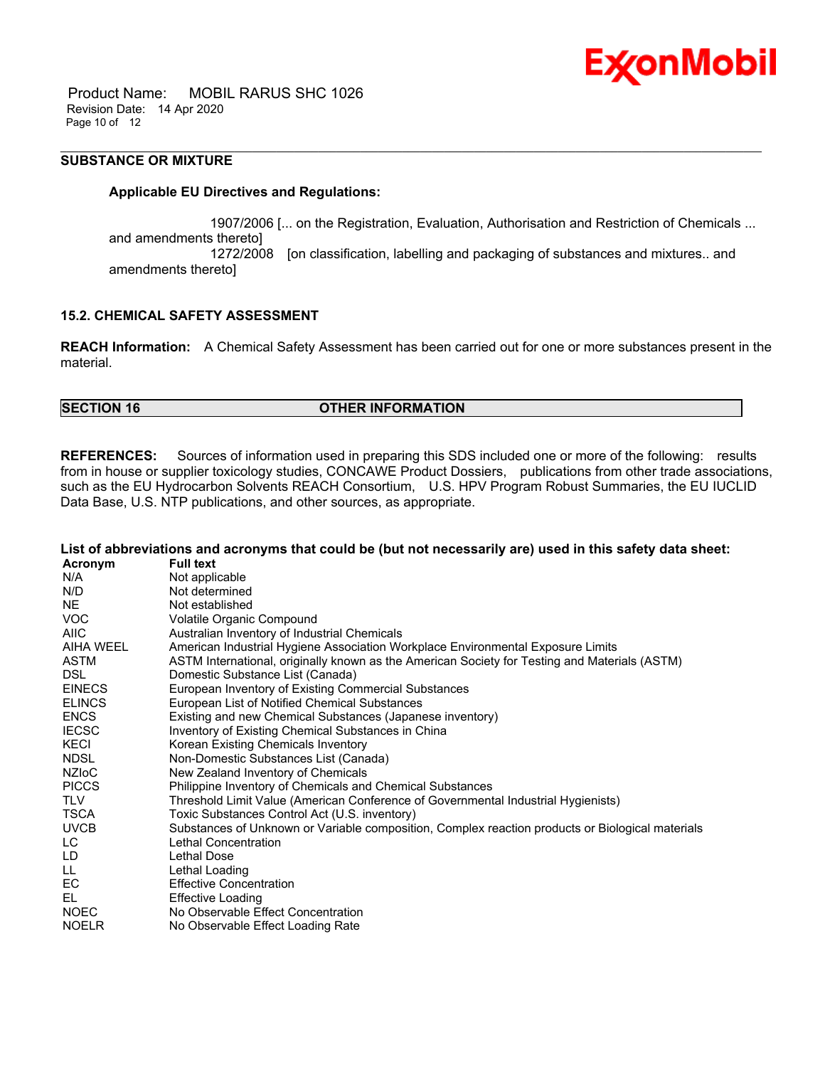

 Product Name: MOBIL RARUS SHC 1026 Revision Date: 14 Apr 2020 Page 10 of 12

# **SUBSTANCE OR MIXTURE**

### **Applicable EU Directives and Regulations:**

 1907/2006 [... on the Registration, Evaluation, Authorisation and Restriction of Chemicals ... and amendments thereto] 1272/2008 [on classification, labelling and packaging of substances and mixtures.. and amendments thereto]

\_\_\_\_\_\_\_\_\_\_\_\_\_\_\_\_\_\_\_\_\_\_\_\_\_\_\_\_\_\_\_\_\_\_\_\_\_\_\_\_\_\_\_\_\_\_\_\_\_\_\_\_\_\_\_\_\_\_\_\_\_\_\_\_\_\_\_\_\_\_\_\_\_\_\_\_\_\_\_\_\_\_\_\_\_\_\_\_\_\_\_\_\_\_\_\_\_\_\_\_\_\_\_\_\_\_\_\_\_\_\_\_\_\_\_\_\_

# **15.2. CHEMICAL SAFETY ASSESSMENT**

**REACH Information:** A Chemical Safety Assessment has been carried out for one or more substances present in the material.

# **SECTION 16 OTHER INFORMATION**

**REFERENCES:** Sources of information used in preparing this SDS included one or more of the following: results from in house or supplier toxicology studies, CONCAWE Product Dossiers, publications from other trade associations, such as the EU Hydrocarbon Solvents REACH Consortium, U.S. HPV Program Robust Summaries, the EU IUCLID Data Base, U.S. NTP publications, and other sources, as appropriate.

|               | List of abbreviations and acronyms that could be (but not necessarily are) used in this safety data sheet: |
|---------------|------------------------------------------------------------------------------------------------------------|
| Acronym       | <b>Full text</b>                                                                                           |
| N/A           | Not applicable                                                                                             |
| N/D           | Not determined                                                                                             |
| <b>NE</b>     | Not established                                                                                            |
| <b>VOC</b>    | Volatile Organic Compound                                                                                  |
| <b>AIIC</b>   | Australian Inventory of Industrial Chemicals                                                               |
| AIHA WEEL     | American Industrial Hygiene Association Workplace Environmental Exposure Limits                            |
| <b>ASTM</b>   | ASTM International, originally known as the American Society for Testing and Materials (ASTM)              |
| DSL.          | Domestic Substance List (Canada)                                                                           |
| <b>EINECS</b> | European Inventory of Existing Commercial Substances                                                       |
| <b>ELINCS</b> | European List of Notified Chemical Substances                                                              |
| <b>ENCS</b>   | Existing and new Chemical Substances (Japanese inventory)                                                  |
| <b>IECSC</b>  | Inventory of Existing Chemical Substances in China                                                         |
| KECI          | Korean Existing Chemicals Inventory                                                                        |
| <b>NDSL</b>   | Non-Domestic Substances List (Canada)                                                                      |
| NZIoC         | New Zealand Inventory of Chemicals                                                                         |
| <b>PICCS</b>  | Philippine Inventory of Chemicals and Chemical Substances                                                  |
| TLV           | Threshold Limit Value (American Conference of Governmental Industrial Hygienists)                          |
| <b>TSCA</b>   | Toxic Substances Control Act (U.S. inventory)                                                              |
| <b>UVCB</b>   | Substances of Unknown or Variable composition, Complex reaction products or Biological materials           |
| LC.           | Lethal Concentration                                                                                       |
| LD            | Lethal Dose                                                                                                |
| LL.           | Lethal Loading                                                                                             |
| EC            | <b>Effective Concentration</b>                                                                             |
| EL            | <b>Effective Loading</b>                                                                                   |
| <b>NOEC</b>   | No Observable Effect Concentration                                                                         |
| <b>NOELR</b>  | No Observable Effect Loading Rate                                                                          |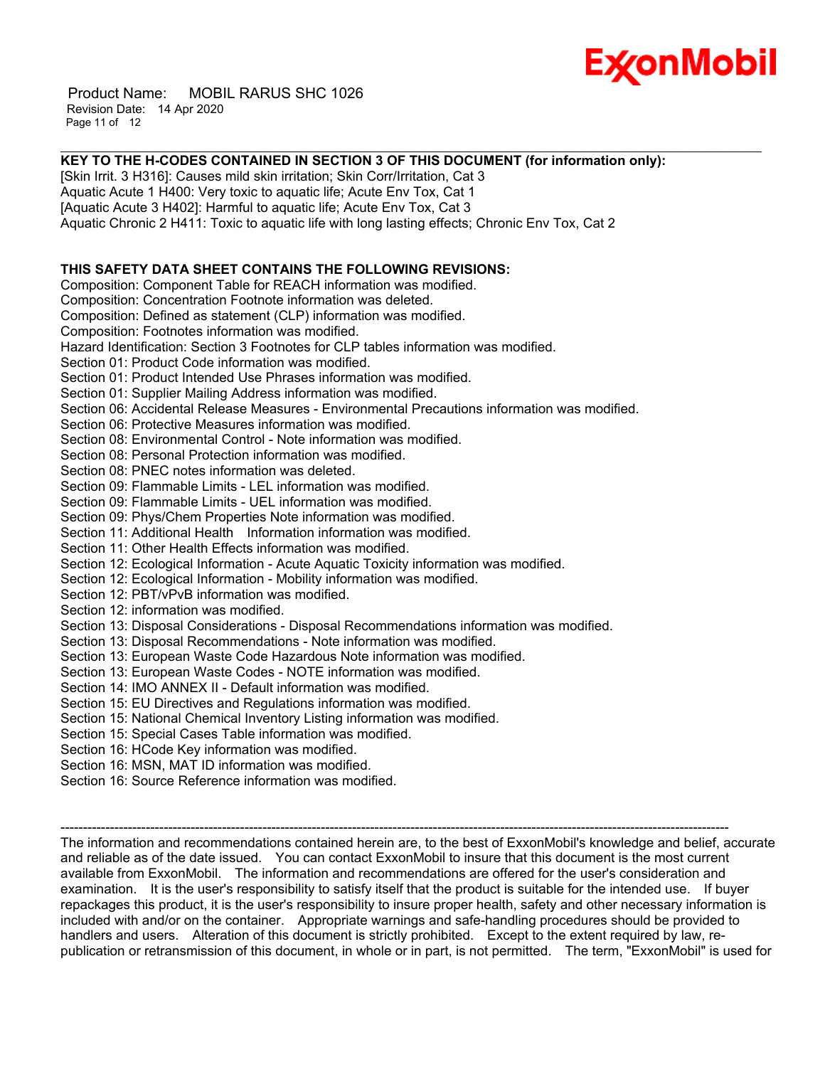

 Product Name: MOBIL RARUS SHC 1026 Revision Date: 14 Apr 2020 Page 11 of 12

#### \_\_\_\_\_\_\_\_\_\_\_\_\_\_\_\_\_\_\_\_\_\_\_\_\_\_\_\_\_\_\_\_\_\_\_\_\_\_\_\_\_\_\_\_\_\_\_\_\_\_\_\_\_\_\_\_\_\_\_\_\_\_\_\_\_\_\_\_\_\_\_\_\_\_\_\_\_\_\_\_\_\_\_\_\_\_\_\_\_\_\_\_\_\_\_\_\_\_\_\_\_\_\_\_\_\_\_\_\_\_\_\_\_\_\_\_\_ **KEY TO THE H-CODES CONTAINED IN SECTION 3 OF THIS DOCUMENT (for information only):**

[Skin Irrit. 3 H316]: Causes mild skin irritation; Skin Corr/Irritation, Cat 3 Aquatic Acute 1 H400: Very toxic to aquatic life; Acute Env Tox, Cat 1 [Aquatic Acute 3 H402]: Harmful to aquatic life; Acute Env Tox, Cat 3 Aquatic Chronic 2 H411: Toxic to aquatic life with long lasting effects; Chronic Env Tox, Cat 2 **THIS SAFETY DATA SHEET CONTAINS THE FOLLOWING REVISIONS:** Composition: Component Table for REACH information was modified. Composition: Concentration Footnote information was deleted. Composition: Defined as statement (CLP) information was modified. Composition: Footnotes information was modified. Hazard Identification: Section 3 Footnotes for CLP tables information was modified. Section 01: Product Code information was modified. Section 01: Product Intended Use Phrases information was modified. Section 01: Supplier Mailing Address information was modified. Section 06: Accidental Release Measures - Environmental Precautions information was modified. Section 06: Protective Measures information was modified. Section 08: Environmental Control - Note information was modified. Section 08: Personal Protection information was modified. Section 08: PNEC notes information was deleted. Section 09: Flammable Limits - LEL information was modified. Section 09: Flammable Limits - UEL information was modified. Section 09: Phys/Chem Properties Note information was modified. Section 11: Additional Health Information information was modified. Section 11: Other Health Effects information was modified. Section 12: Ecological Information - Acute Aquatic Toxicity information was modified. Section 12: Ecological Information - Mobility information was modified. Section 12: PBT/vPvB information was modified. Section 12: information was modified. Section 13: Disposal Considerations - Disposal Recommendations information was modified. Section 13: Disposal Recommendations - Note information was modified. Section 13: European Waste Code Hazardous Note information was modified. Section 13: European Waste Codes - NOTE information was modified. Section 14: IMO ANNEX II - Default information was modified. Section 15: EU Directives and Regulations information was modified. Section 15: National Chemical Inventory Listing information was modified. Section 15: Special Cases Table information was modified. Section 16: HCode Key information was modified. Section 16: MSN, MAT ID information was modified. Section 16: Source Reference information was modified. -----------------------------------------------------------------------------------------------------------------------------------------------------

The information and recommendations contained herein are, to the best of ExxonMobil's knowledge and belief, accurate and reliable as of the date issued. You can contact ExxonMobil to insure that this document is the most current available from ExxonMobil. The information and recommendations are offered for the user's consideration and examination. It is the user's responsibility to satisfy itself that the product is suitable for the intended use. If buyer repackages this product, it is the user's responsibility to insure proper health, safety and other necessary information is included with and/or on the container. Appropriate warnings and safe-handling procedures should be provided to handlers and users. Alteration of this document is strictly prohibited. Except to the extent required by law, republication or retransmission of this document, in whole or in part, is not permitted. The term, "ExxonMobil" is used for